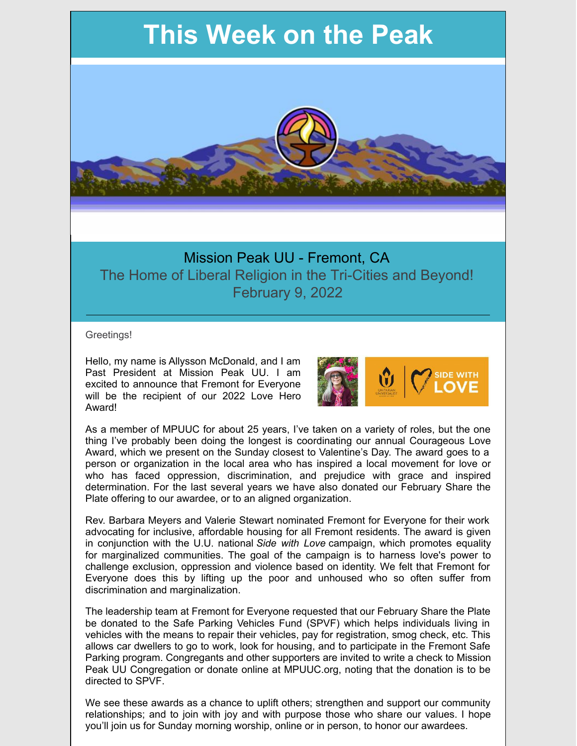# **This Week on the Peak**



## Mission Peak UU - Fremont, CA The Home of Liberal Religion in the Tri-Cities and Beyond! February 9, 2022

Greetings!

Hello, my name is Allysson McDonald, and I am Past President at Mission Peak UU. I am excited to announce that Fremont for Everyone will be the recipient of our 2022 Love Hero Award!



As a member of MPUUC for about 25 years, I've taken on a variety of roles, but the one thing I've probably been doing the longest is coordinating our annual Courageous Love Award, which we present on the Sunday closest to Valentine's Day. The award goes to a person or organization in the local area who has inspired a local movement for love or who has faced oppression, discrimination, and prejudice with grace and inspired determination. For the last several years we have also donated our February Share the Plate offering to our awardee, or to an aligned organization.

Rev. Barbara Meyers and Valerie Stewart nominated Fremont for Everyone for their work advocating for inclusive, affordable housing for all Fremont residents. The award is given in conjunction with the U.U. national *Side with Love* campaign, which promotes equality for marginalized communities. The goal of the campaign is to harness love's power to challenge exclusion, oppression and violence based on identity. We felt that Fremont for Everyone does this by lifting up the poor and unhoused who so often suffer from discrimination and marginalization.

The leadership team at Fremont for Everyone requested that our February Share the Plate be donated to the Safe Parking Vehicles Fund (SPVF) which helps individuals living in vehicles with the means to repair their vehicles, pay for registration, smog check, etc. This allows car dwellers to go to work, look for housing, and to participate in the Fremont Safe Parking program. Congregants and other supporters are invited to write a check to Mission Peak UU Congregation or donate online at MPUUC.org, noting that the donation is to be directed to SPVF.

We see these awards as a chance to uplift others; strengthen and support our community relationships; and to join with joy and with purpose those who share our values. I hope you'll join us for Sunday morning worship, online or in person, to honor our awardees.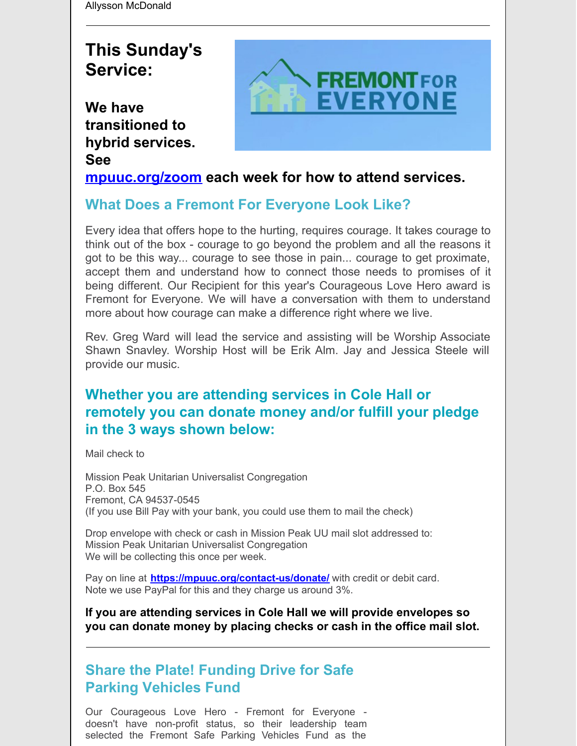Allysson McDonald

## **This Sunday's Service:**

**We have transitioned to hybrid services. See**



## **[mpuuc.org/zoom](http://r20.rs6.net/tn.jsp?f=001lrVp8cJ2zHOyflHykk7zoF174aFv5n56P3LtD1JVGo6KETO6zBYetSRs5aEvFDO-ngYrdZcw3fhckmMxiL0jSnwgAc0fzMgBcQk8qyjiO5eGaSEmurVNnwhw0i9iii_QJPCbUztEnJJc-MjGyz6M4_AsvW5Itrxn2Ba4H9lxKRw=&c=uzAVhLTBhLDtZEaCeuGPQKO-FwoSJlrG7wZs04PQmTHrMhFcZXzXCQ==&ch=Ky6iH1AjA-GtU86VT6mONoEUwPhSuPgHeOn1gYrrK378geVLX1r9NQ==) each week for how to attend services.**

## **What Does a Fremont For Everyone Look Like?**

Every idea that offers hope to the hurting, requires courage. It takes courage to think out of the box - courage to go beyond the problem and all the reasons it got to be this way... courage to see those in pain... courage to get proximate, accept them and understand how to connect those needs to promises of it being different. Our Recipient for this year's Courageous Love Hero award is Fremont for Everyone. We will have a conversation with them to understand more about how courage can make a difference right where we live.

Rev. Greg Ward will lead the service and assisting will be Worship Associate Shawn Snavley. Worship Host will be Erik Alm. Jay and Jessica Steele will provide our music.

## **Whether you are attending services in Cole Hall or remotely you can donate money and/or fulfill your pledge in the 3 ways shown below:**

Mail check to

Mission Peak Unitarian Universalist Congregation P.O. Box 545 Fremont, CA 94537-0545 (If you use Bill Pay with your bank, you could use them to mail the check)

Drop envelope with check or cash in Mission Peak UU mail slot addressed to: Mission Peak Unitarian Universalist Congregation We will be collecting this once per week.

Pay on line at **<https://mpuuc.org/contact-us/donate/>** with credit or debit card. Note we use PayPal for this and they charge us around 3%.

**If you are attending services in Cole Hall we will provide envelopes so you can donate money by placing checks or cash in the office mail slot.**

## **Share the Plate! Funding Drive for Safe Parking Vehicles Fund**

Our Courageous Love Hero - Fremont for Everyone doesn't have non-profit status, so their leadership team selected the Fremont Safe Parking Vehicles Fund as the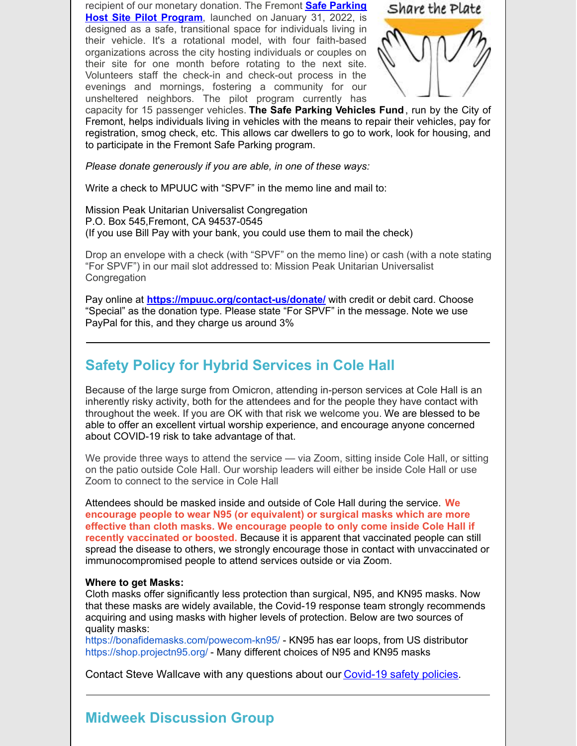recipient of our [monetary](https://www.fremont.gov/3750/Safe-Parking-Strategy) donation. The Fremont **Safe Parking Host Site Pilot Program**, launched on January 31, 2022, is designed as a safe, transitional space for individuals living in their vehicle. It's a rotational model, with four faith-based organizations across the city hosting individuals or couples on their site for one month before rotating to the next site. Volunteers staff the check-in and check-out process in the evenings and mornings, fostering a community for our unsheltered neighbors. The pilot program currently has



capacity for 15 passenger vehicles. **The Safe Parking Vehicles Fund**, run by the City of Fremont, helps individuals living in vehicles with the means to repair their vehicles, pay for registration, smog check, etc. This allows car dwellers to go to work, look for housing, and to participate in the Fremont Safe Parking program.

*Please donate generously if you are able, in one of these ways:*

Write a check to MPUUC with "SPVF" in the memo line and mail to:

Mission Peak Unitarian Universalist Congregation P.O. Box 545,Fremont, CA 94537-0545 (If you use Bill Pay with your bank, you could use them to mail the check)

Drop an envelope with a check (with "SPVF" on the memo line) or cash (with a note stating "For SPVF") in our mail slot addressed to: Mission Peak Unitarian Universalist **Congregation** 

Pay online at **<https://mpuuc.org/contact-us/donate/>** with credit or debit card. Choose "Special" as the donation type. Please state "For SPVF" in the message. Note we use PayPal for this, and they charge us around 3%

## **Safety Policy for Hybrid Services in Cole Hall**

Because of the large surge from Omicron, attending in-person services at Cole Hall is an inherently risky activity, both for the attendees and for the people they have contact with throughout the week. If you are OK with that risk we welcome you. We are blessed to be able to offer an excellent virtual worship experience, and encourage anyone concerned about COVID-19 risk to take advantage of that.

We provide three ways to attend the service — via Zoom, sitting inside Cole Hall, or sitting on the patio outside Cole Hall. Our worship leaders will either be inside Cole Hall or use Zoom to connect to the service in Cole Hall

Attendees should be masked inside and outside of Cole Hall during the service. **We encourage people to wear N95 (or equivalent) or surgical masks which are more effective than cloth masks. We encourage people to only come inside Cole Hall if recently vaccinated or boosted.** Because it is apparent that vaccinated people can still spread the disease to others, we strongly encourage those in contact with unvaccinated or immunocompromised people to attend services outside or via Zoom.

#### **Where to get Masks:**

Cloth masks offer significantly less protection than surgical, N95, and KN95 masks. Now that these masks are widely available, the Covid-19 response team strongly recommends acquiring and using masks with higher levels of protection. Below are two sources of quality masks:

<https://bonafidemasks.com/powecom-kn95/> - KN95 has ear loops, from US distributor <https://shop.projectn95.org/> - Many different choices of N95 and KN95 masks

Contact Steve Wallcave with any questions about our [Covid-19](https://mpuuc.org/about-us/congregational-documents/) safety policies.

### **Midweek Discussion Group**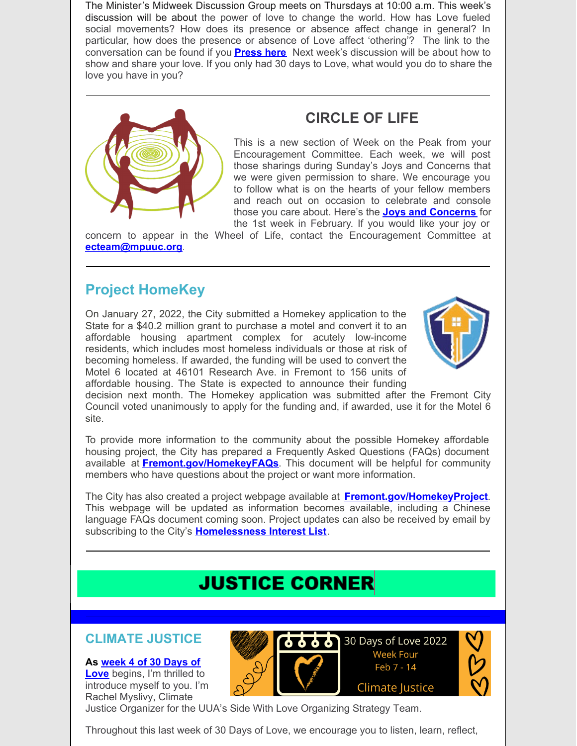The Minister's Midweek Discussion Group meets on Thursdays at 10:00 a.m. This week's discussion will be about the power of love to change the world. How has Love fueled social movements? How does its presence or absence affect change in general? In particular, how does the presence or absence of Love affect 'othering'? The link to the conversation can be found if you **[Press](https://us02web.zoom.us/j/85171863480?pwd=SGlFMExoR2gxM2pSSnRYSFhzT3l3Zz09#success) here** Next week's discussion will be about how to show and share your love. If you only had 30 days to Love, what would you do to share the love you have in you?



## **CIRCLE OF LIFE**

This is a new section of Week on the Peak from your Encouragement Committee. Each week, we will post those sharings during Sunday's Joys and Concerns that we were given permission to share. We encourage you to follow what is on the hearts of your fellow members and reach out on occasion to celebrate and console those you care about. Here's the **Joys and [Concerns](https://docs.google.com/document/d/1_v7Ifc-FfM7AFuL2dNdpz9Ll9_jwQ9vH/edit)** for the 1st week in February. If you would like your joy or

concern to appear in the Wheel of Life, contact the Encouragement Committee at **[ecteam@mpuuc.org](mailto:ecteam@mpuuc.org)**.

## **Project HomeKey**

On January 27, 2022, the City submitted a Homekey application to the State for a \$40.2 million grant to purchase a motel and convert it to an affordable housing apartment complex for acutely low-income residents, which includes most homeless individuals or those at risk of becoming homeless. If awarded, the funding will be used to convert the Motel 6 located at 46101 Research Ave. in Fremont to 156 units of affordable housing. The State is expected to announce their funding



decision next month. The Homekey application was submitted after the Fremont City Council voted unanimously to apply for the funding and, if awarded, use it for the Motel 6 site.

To provide more information to the community about the possible Homekey affordable housing project, the City has prepared a Frequently Asked Questions (FAQs) document available at **[Fremont.gov/HomekeyFAQs](http://www.fremont.gov/HomekeyFAQs)**. This document will be helpful for community members who have questions about the project or want more information.

The City has also created a project webpage available at **[Fremont.gov/HomekeyProject](http://www.fremont.gov/HomekeyProject)**. This webpage will be updated as information becomes available, including a Chinese language FAQs document coming soon. Project updates can also be received by email by subscribing to the City's **[Homelessness](https://www.fremont.gov/list.aspx?ListID=356) Interest List**.

## **JUSTICE CORNER**

### **CLIMATE JUSTICE**

**As week 4 of 30 Days of**

**Love** [begins,](https://click.everyaction.com/k/41483791/329011359/-577275687?nvep=ew0KICAiVGVuYW50VXJpIjogIm5ncHZhbjovL3Zhbi9FQS9FQTAwNS8xLzc5MDg1IiwNCiAgIkRpc3RyaWJ1dGlvblVuaXF1ZUlkIjogImMxZWU2N2M3LTU1ODctZWMxMS05NGY2LTI4MTg3OGI4NTExMCIsDQogICJFbWFpbEFkZHJlc3MiOiAia2FiYXluZUBnbWFpbC5jb20iDQp9&hmac=MMY1aVy6ezCEBtuS660HKGjAY7JA-HVpKE5qQWS-_0Y=&emci=f4381d11-1a85-ec11-94f6-281878b85110&emdi=c1ee67c7-5587-ec11-94f6-281878b85110&ceid=9869968) I'm thrilled to introduce myself to you. I'm Rachel Myslivy, Climate



Justice Organizer for the UUA's Side With Love Organizing Strategy Team.

Throughout this last week of 30 Days of Love, we encourage you to listen, learn, reflect,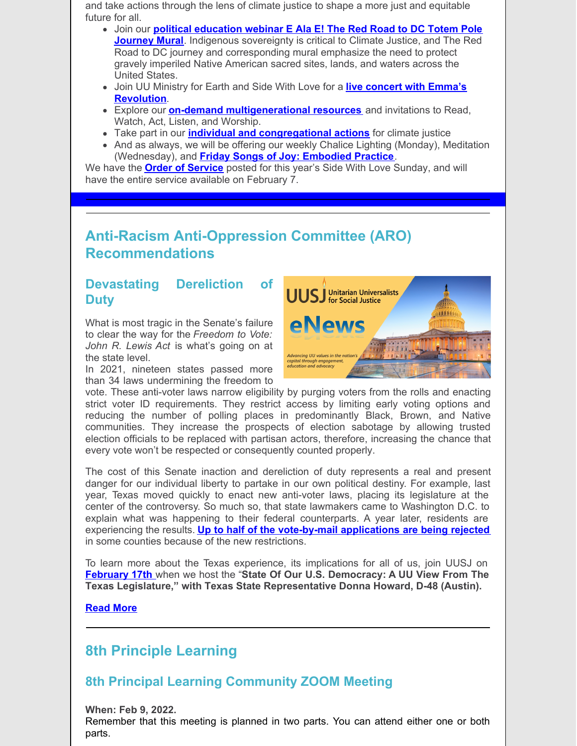and take actions through the lens of climate justice to shape a more just and equitable future for all.

- Join our **political [education](https://click.everyaction.com/k/41483792/329011360/-1464691527?nvep=ew0KICAiVGVuYW50VXJpIjogIm5ncHZhbjovL3Zhbi9FQS9FQTAwNS8xLzc5MDg1IiwNCiAgIkRpc3RyaWJ1dGlvblVuaXF1ZUlkIjogImMxZWU2N2M3LTU1ODctZWMxMS05NGY2LTI4MTg3OGI4NTExMCIsDQogICJFbWFpbEFkZHJlc3MiOiAia2FiYXluZUBnbWFpbC5jb20iDQp9&hmac=MMY1aVy6ezCEBtuS660HKGjAY7JA-HVpKE5qQWS-_0Y=&emci=f4381d11-1a85-ec11-94f6-281878b85110&emdi=c1ee67c7-5587-ec11-94f6-281878b85110&ceid=9869968) webinar E Ala E! The Red Road to DC Totem Pole Journey Mural**. Indigenous sovereignty is critical to Climate Justice, and The Red Road to DC journey and corresponding mural emphasize the need to protect gravely imperiled Native American sacred sites, lands, and waters across the United States.
- Join UU Ministry for Earth and Side With Love for a **live concert with Emma's [Revolution](https://click.everyaction.com/k/41483794/329011361/-427419276?nvep=ew0KICAiVGVuYW50VXJpIjogIm5ncHZhbjovL3Zhbi9FQS9FQTAwNS8xLzc5MDg1IiwNCiAgIkRpc3RyaWJ1dGlvblVuaXF1ZUlkIjogImMxZWU2N2M3LTU1ODctZWMxMS05NGY2LTI4MTg3OGI4NTExMCIsDQogICJFbWFpbEFkZHJlc3MiOiAia2FiYXluZUBnbWFpbC5jb20iDQp9&hmac=MMY1aVy6ezCEBtuS660HKGjAY7JA-HVpKE5qQWS-_0Y=&emci=f4381d11-1a85-ec11-94f6-281878b85110&emdi=c1ee67c7-5587-ec11-94f6-281878b85110&ceid=9869968)**.
- Explore our **on-demand [multigenerational](https://click.everyaction.com/k/41483795/329011362/-577275687?nvep=ew0KICAiVGVuYW50VXJpIjogIm5ncHZhbjovL3Zhbi9FQS9FQTAwNS8xLzc5MDg1IiwNCiAgIkRpc3RyaWJ1dGlvblVuaXF1ZUlkIjogImMxZWU2N2M3LTU1ODctZWMxMS05NGY2LTI4MTg3OGI4NTExMCIsDQogICJFbWFpbEFkZHJlc3MiOiAia2FiYXluZUBnbWFpbC5jb20iDQp9&hmac=MMY1aVy6ezCEBtuS660HKGjAY7JA-HVpKE5qQWS-_0Y=&emci=f4381d11-1a85-ec11-94f6-281878b85110&emdi=c1ee67c7-5587-ec11-94f6-281878b85110&ceid=9869968) resources** and invitations to Read, Watch, Act, Listen, and Worship.
- Take part in our **individual and [congregational](https://click.everyaction.com/k/41483797/329011363/209951073?nvep=ew0KICAiVGVuYW50VXJpIjogIm5ncHZhbjovL3Zhbi9FQS9FQTAwNS8xLzc5MDg1IiwNCiAgIkRpc3RyaWJ1dGlvblVuaXF1ZUlkIjogImMxZWU2N2M3LTU1ODctZWMxMS05NGY2LTI4MTg3OGI4NTExMCIsDQogICJFbWFpbEFkZHJlc3MiOiAia2FiYXluZUBnbWFpbC5jb20iDQp9&hmac=MMY1aVy6ezCEBtuS660HKGjAY7JA-HVpKE5qQWS-_0Y=&emci=f4381d11-1a85-ec11-94f6-281878b85110&emdi=c1ee67c7-5587-ec11-94f6-281878b85110&ceid=9869968) actions** for climate justice
- And as always, we will be offering our weekly Chalice Lighting (Monday), Meditation (Wednesday), and **Friday Songs of Joy: [Embodied](https://click.everyaction.com/k/41483798/329011364/128321641?nvep=ew0KICAiVGVuYW50VXJpIjogIm5ncHZhbjovL3Zhbi9FQS9FQTAwNS8xLzc5MDg1IiwNCiAgIkRpc3RyaWJ1dGlvblVuaXF1ZUlkIjogImMxZWU2N2M3LTU1ODctZWMxMS05NGY2LTI4MTg3OGI4NTExMCIsDQogICJFbWFpbEFkZHJlc3MiOiAia2FiYXluZUBnbWFpbC5jb20iDQp9&hmac=MMY1aVy6ezCEBtuS660HKGjAY7JA-HVpKE5qQWS-_0Y=&emci=f4381d11-1a85-ec11-94f6-281878b85110&emdi=c1ee67c7-5587-ec11-94f6-281878b85110&ceid=9869968) Practice**.

We have the **Order of [Service](https://click.everyaction.com/k/41483799/329011365/1011762745?nvep=ew0KICAiVGVuYW50VXJpIjogIm5ncHZhbjovL3Zhbi9FQS9FQTAwNS8xLzc5MDg1IiwNCiAgIkRpc3RyaWJ1dGlvblVuaXF1ZUlkIjogImMxZWU2N2M3LTU1ODctZWMxMS05NGY2LTI4MTg3OGI4NTExMCIsDQogICJFbWFpbEFkZHJlc3MiOiAia2FiYXluZUBnbWFpbC5jb20iDQp9&hmac=MMY1aVy6ezCEBtuS660HKGjAY7JA-HVpKE5qQWS-_0Y=&emci=f4381d11-1a85-ec11-94f6-281878b85110&emdi=c1ee67c7-5587-ec11-94f6-281878b85110&ceid=9869968)** posted for this year's Side With Love Sunday, and will have the entire service available on February 7.

## **Anti-Racism Anti-Oppression Committee (ARO) Recommendations**

### **Devastating Dereliction of Duty**

What is most tragic in the Senate's failure to clear the way for the *Freedom to Vote: John R. Lewis Act* is what's going on at the state level.

In 2021, nineteen states passed more than 34 laws undermining the freedom to



vote. These anti-voter laws narrow eligibility by purging voters from the rolls and enacting strict voter ID requirements. They restrict access by limiting early voting options and reducing the number of polling places in predominantly Black, Brown, and Native communities. They increase the prospects of election sabotage by allowing trusted election officials to be replaced with partisan actors, therefore, increasing the chance that every vote won't be respected or consequently counted properly.

The cost of this Senate inaction and dereliction of duty represents a real and present danger for our individual liberty to partake in our own political destiny. For example, last year, Texas moved quickly to enact new anti-voter laws, placing its legislature at the center of the controversy. So much so, that state lawmakers came to Washington D.C. to explain what was happening to their federal counterparts. A year later, residents are experiencing the results. **Up to half of the [vote-by-mail](https://default.salsalabs.org/T051cdadd-7bac-4133-a2e5-a296fb9d41b1/96559c64-c56e-47f6-bedf-2fd0b9672c9c) applications are being rejected** in some counties because of the new restrictions.

To learn more about the Texas experience, its implications for all of us, join UUSJ on **[February](https://default.salsalabs.org/T898e9939-f93a-4ed0-b7cd-87267ce7202b/96559c64-c56e-47f6-bedf-2fd0b9672c9c) 17th** when we host the "**State Of Our U.S. Democracy: A UU View From The Texas Legislature," with Texas State Representative Donna Howard, D-48 (Austin).**

#### **[Read](https://default.salsalabs.org/T6bf35c38-1dc3-48f6-87ae-04b1fe9b9afe/96559c64-c56e-47f6-bedf-2fd0b9672c9c) More**

## **8th Principle Learning**

### **8th Principal Learning Community ZOOM Meeting**

**When: Feb 9, 2022.** Remember that this meeting is planned in two parts. You can attend either one or both parts.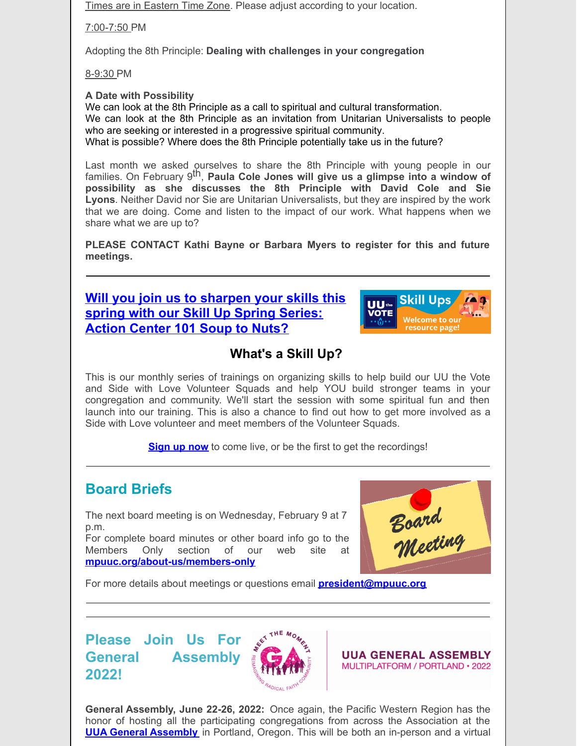Times are in Eastern Time Zone. Please adjust according to your location.

7:00-7:50 PM

Adopting the 8th Principle: **Dealing with challenges in your congregation**

8-9:30 PM

**A Date with Possibility**

We can look at the 8th Principle as a call to spiritual and cultural transformation. We can look at the 8th Principle as an invitation from Unitarian Universalists to people who are seeking or interested in a progressive spiritual community. What is possible? Where does the 8th Principle potentially take us in the future?

Last month we asked ourselves to share the 8th Principle with young people in our families. On February 9 th, **Paula Cole Jones will give us a glimpse into a window of possibility as she discusses the 8th Principle with David Cole and Sie Lyons**. Neither David nor Sie are Unitarian Universalists, but they are inspired by the work that we are doing. Come and listen to the impact of our work. What happens when we share what we are up to?

**PLEASE CONTACT Kathi Bayne or Barbara Myers to register for this and future meetings.**

**Will you join us to [sharpen](https://click.everyaction.com/k/41572396/329407313/-622214233?nvep=ew0KICAiVGVuYW50VXJpIjogIm5ncHZhbjovL3Zhbi9FQS9FQTAwNS8xLzc5MDg1IiwNCiAgIkRpc3RyaWJ1dGlvblVuaXF1ZUlkIjogImI0ZTNjNjRiLTJkODktZWMxMS1hNTA3LTI4MTg3OGI4M2Q4YSIsDQogICJFbWFpbEFkZHJlc3MiOiAiYWxseXNzb25tY2RvbmFsZEBnbWFpbC5jb20iDQp9&hmac=5E2xSgdIO2gXVynelmmYNlJkLU-4YkSkJeCTnxdXGsc=&emci=c02850d0-fb88-ec11-a507-281878b83d8a&emdi=b4e3c64b-2d89-ec11-a507-281878b83d8a&ceid=2432639) your skills this spring with our Skill Up Spring Series: Action Center 101 Soup to Nuts?**



## **What's a Skill Up?**

This is our monthly series of trainings on organizing skills to help build our UU the Vote and Side with Love Volunteer Squads and help YOU build stronger teams in your congregation and community. We'll start the session with some spiritual fun and then launch into our training. This is also a chance to find out how to get more involved as a Side with Love volunteer and meet members of the Volunteer Squads.

**[Sign](https://click.everyaction.com/k/41572398/329407315/-622214233?nvep=ew0KICAiVGVuYW50VXJpIjogIm5ncHZhbjovL3Zhbi9FQS9FQTAwNS8xLzc5MDg1IiwNCiAgIkRpc3RyaWJ1dGlvblVuaXF1ZUlkIjogImI0ZTNjNjRiLTJkODktZWMxMS1hNTA3LTI4MTg3OGI4M2Q4YSIsDQogICJFbWFpbEFkZHJlc3MiOiAiYWxseXNzb25tY2RvbmFsZEBnbWFpbC5jb20iDQp9&hmac=5E2xSgdIO2gXVynelmmYNlJkLU-4YkSkJeCTnxdXGsc=&emci=c02850d0-fb88-ec11-a507-281878b83d8a&emdi=b4e3c64b-2d89-ec11-a507-281878b83d8a&ceid=2432639) up now** to come live, or be the first to get the recordings!

## **Board Briefs**

The next board meeting is on Wednesday, February 9 at 7 p.m.

For complete board minutes or other board info go to the Members Only section of our web site at **[mpuuc.org/about-us/members-only](http://mpuuc.org/about-us/members-only)**



For more details about meetings or questions email **[president@mpuuc.org](mailto:president@mpuuc.org)**

## **Please Join Us For General Assembly 2022!**



**UUA GENERAL ASSEMBLY** MULTIPLATFORM / PORTLAND · 2022

**General Assembly, June 22-26, 2022:** Once again, the Pacific Western Region has the honor of hosting all the participating congregations from across the Association at the **UUA General [Assembly](https://uua874.acemlna.com/lt.php?s=1e0ee60828460e06281ed735200453ad&i=2697A5653A16A83007)** in Portland, Oregon. This will be both an in-person and a virtual